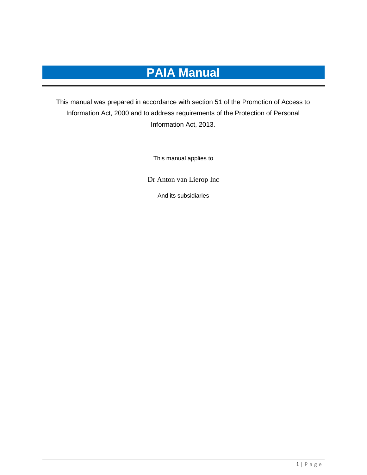# **PAIA Manual**

This manual was prepared in accordance with section 51 of the Promotion of Access to Information Act, 2000 and to address requirements of the Protection of Personal Information Act, 2013.

This manual applies to

Dr Anton van Lierop Inc

And its subsidiaries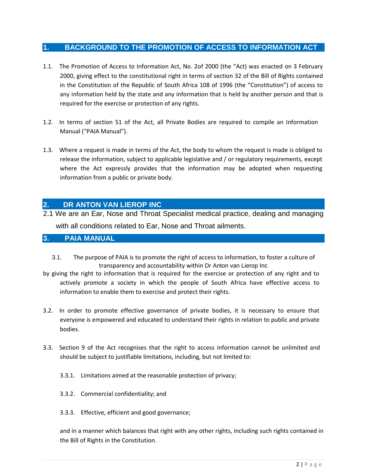## **1. BACKGROUND TO THE PROMOTION OF ACCESS TO INFORMATION ACT**

- 1.1. The Promotion of Access to Information Act, No. 2of 2000 (the "Act) was enacted on 3 February 2000, giving effect to the constitutional right in terms of section 32 of the Bill of Rights contained in the Constitution of the Republic of South Africa 108 of 1996 (the "Constitution") of access to any information held by the state and any information that is held by another person and that is required for the exercise or protection of any rights.
- 1.2. In terms of section 51 of the Act, all Private Bodies are required to compile an Information Manual ("PAIA Manual").
- 1.3. Where a request is made in terms of the Act, the body to whom the request is made is obliged to release the information, subject to applicable legislative and / or regulatory requirements, except where the Act expressly provides that the information may be adopted when requesting information from a public or private body.

## **2. DR ANTON VAN LIEROP INC**

2.1 We are an Ear, Nose and Throat Specialist medical practice, dealing and managing with all conditions related to Ear, Nose and Throat ailments.

### **3. PAIA MANUAL**

- 3.1. The purpose of PAIA is to promote the right of access to information, to foster a culture of transparency and accountability within Dr Anton van Lierop Inc
- by giving the right to information that is required for the exercise or protection of any right and to actively promote a society in which the people of South Africa have effective access to information to enable them to exercise and protect their rights.
- 3.2. In order to promote effective governance of private bodies, it is necessary to ensure that everyone is empowered and educated to understand their rights in relation to public and private bodies.
- 3.3. Section 9 of the Act recognises that the right to access information cannot be unlimited and should be subject to justifiable limitations, including, but not limited to:
	- 3.3.1. Limitations aimed at the reasonable protection of privacy;
	- 3.3.2. Commercial confidentiality; and
	- 3.3.3. Effective, efficient and good governance;

and in a manner which balances that right with any other rights, including such rights contained in the Bill of Rights in the Constitution.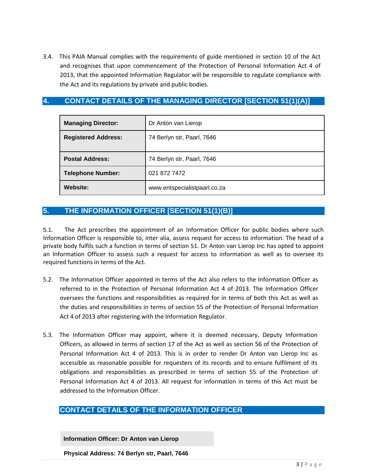3.4. This PAIA Manual complies with the requirements of guide mentioned in section 10 of the Act and recognises that upon commencement of the Protection of Personal Information Act 4 of 2013, that the appointed Information Regulator will be responsible to regulate compliance with the Act and its regulations by private and public bodies.

## **4. CONTACT DETAILS OF THE MANAGING DIRECTOR [SECTION 51(1)(A)]**

| <b>Managing Director:</b>  | Dr Anton van Lierop          |
|----------------------------|------------------------------|
| <b>Registered Address:</b> | 74 Berlyn str, Paarl, 7646   |
| <b>Postal Address:</b>     | 74 Berlyn str, Paarl, 7646   |
| <b>Telephone Number:</b>   | 021 872 7472                 |
| <b>Website:</b>            | www.entspecialistpaarl.co.za |

## **5. THE INFORMATION OFFICER [SECTION 51(1)(B)]**

5.1. The Act prescribes the appointment of an Information Officer for public bodies where such Information Officer is responsible to, inter alia, assess request for access to information. The head of a private body fulfils such a function in terms of section 51. Dr Anton van Lierop Inc has opted to appoint an Information Officer to assess such a request for access to information as well as to oversee its required functions in terms of the Act.

- 5.2. The Information Officer appointed in terms of the Act also refers to the Information Officer as referred to in the Protection of Personal Information Act 4 of 2013. The Information Officer oversees the functions and responsibilities as required for in terms of both this Act as well as the duties and responsibilities in terms of section 55 of the Protection of Personal Information Act 4 of 2013 after registering with the Information Regulator.
- 5.3. The Information Officer may appoint, where it is deemed necessary, Deputy Information Officers, as allowed in terms of section 17 of the Act as well as section 56 of the Protection of Personal Information Act 4 of 2013. This is in order to render Dr Anton van Lierop Inc as accessible as reasonable possible for requesters of its records and to ensure fulfilment of its obligations and responsibilities as prescribed in terms of section 55 of the Protection of Personal Information Act 4 of 2013. All request for information in terms of this Act must be addressed to the Information Officer.

## **CONTACT DETAILS OF THE INFORMATION OFFICER**

**Information Officer: Dr Anton van Lierop**

**Physical Address: 74 Berlyn str, Paarl, 7646**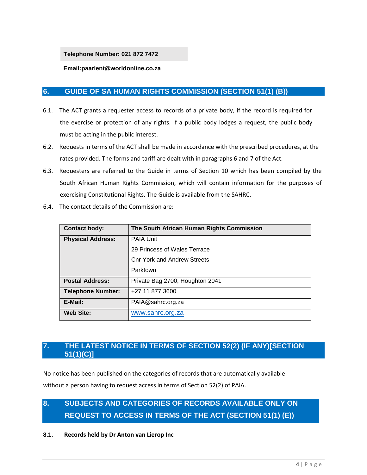**Telephone Number: 021 872 7472**

**Email:paarlent@worldonline.co.za**

## **6. GUIDE OF SA HUMAN RIGHTS COMMISSION (SECTION 51(1) (B))**

- 6.1. The ACT grants a requester access to records of a private body, if the record is required for the exercise or protection of any rights. If a public body lodges a request, the public body must be acting in the public interest.
- 6.2. Requests in terms of the ACT shall be made in accordance with the prescribed procedures, at the rates provided. The forms and tariff are dealt with in paragraphs 6 and 7 of the Act.
- 6.3. Requesters are referred to the Guide in terms of Section 10 which has been compiled by the South African Human Rights Commission, which will contain information for the purposes of exercising Constitutional Rights. The Guide is available from the SAHRC.

| 6.4. | The contact details of the Commission are: |
|------|--------------------------------------------|
|      |                                            |

| <b>Contact body:</b>     | The South African Human Rights Commission |  |  |  |  |  |  |  |  |
|--------------------------|-------------------------------------------|--|--|--|--|--|--|--|--|
| <b>Physical Address:</b> | <b>PAIA Unit</b>                          |  |  |  |  |  |  |  |  |
|                          | 29 Princess of Wales Terrace              |  |  |  |  |  |  |  |  |
|                          | <b>Cnr York and Andrew Streets</b>        |  |  |  |  |  |  |  |  |
|                          | Parktown                                  |  |  |  |  |  |  |  |  |
| <b>Postal Address:</b>   | Private Bag 2700, Houghton 2041           |  |  |  |  |  |  |  |  |
| <b>Telephone Number:</b> | +27 11 877 3600                           |  |  |  |  |  |  |  |  |
| E-Mail:                  | PAIA@sahrc.org.za                         |  |  |  |  |  |  |  |  |
| <b>Web Site:</b>         | www.sahrc.org.za                          |  |  |  |  |  |  |  |  |

## **7. THE LATEST NOTICE IN TERMS OF SECTION 52(2) (IF ANY)[SECTION 51(1)(C)]**

No notice has been published on the categories of records that are automatically available without a person having to request access in terms of Section 52(2) of PAIA.

## **8. SUBJECTS AND CATEGORIES OF RECORDS AVAILABLE ONLY ON REQUEST TO ACCESS IN TERMS OF THE ACT (SECTION 51(1) (E))**

**8.1. Records held by Dr Anton van Lierop Inc**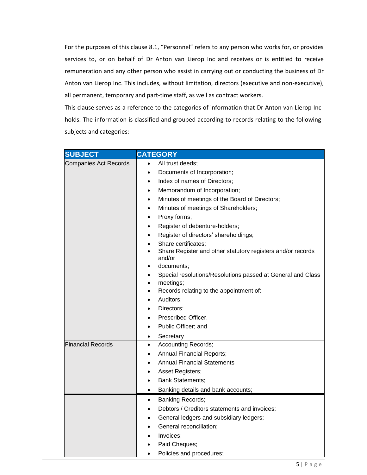For the purposes of this clause 8.1, "Personnel" refers to any person who works for, or provides services to, or on behalf of Dr Anton van Lierop Inc and receives or is entitled to receive remuneration and any other person who assist in carrying out or conducting the business of Dr Anton van Lierop Inc. This includes, without limitation, directors (executive and non-executive), all permanent, temporary and part-time staff, as well as contract workers.

This clause serves as a reference to the categories of information that Dr Anton van Lierop Inc holds. The information is classified and grouped according to records relating to the following subjects and categories:

| <b>SUBJECT</b>               | <b>CATEGORY</b>                                                       |
|------------------------------|-----------------------------------------------------------------------|
| <b>Companies Act Records</b> | All trust deeds;<br>$\bullet$                                         |
|                              | Documents of Incorporation;<br>$\bullet$                              |
|                              | Index of names of Directors;<br>$\bullet$                             |
|                              | Memorandum of Incorporation;<br>$\bullet$                             |
|                              | Minutes of meetings of the Board of Directors;<br>$\bullet$           |
|                              | Minutes of meetings of Shareholders;<br>$\bullet$                     |
|                              | Proxy forms;<br>$\bullet$                                             |
|                              | Register of debenture-holders;<br>$\bullet$                           |
|                              | Register of directors' shareholdings;<br>$\bullet$                    |
|                              | Share certificates;                                                   |
|                              | Share Register and other statutory registers and/or records<br>and/or |
|                              | documents:<br>$\bullet$                                               |
|                              | Special resolutions/Resolutions passed at General and Class           |
|                              | meetings;<br>$\bullet$                                                |
|                              | Records relating to the appointment of:<br>$\bullet$                  |
|                              | Auditors;<br>$\bullet$                                                |
|                              | Directors:<br>٠                                                       |
|                              | Prescribed Officer.                                                   |
|                              | Public Officer; and                                                   |
|                              | Secretary<br>$\bullet$                                                |
| <b>Financial Records</b>     | <b>Accounting Records;</b><br>$\bullet$                               |
|                              | <b>Annual Financial Reports;</b><br>$\bullet$                         |
|                              | <b>Annual Financial Statements</b><br>$\bullet$                       |
|                              | Asset Registers;<br>$\bullet$                                         |
|                              | <b>Bank Statements;</b>                                               |
|                              | Banking details and bank accounts;<br>$\bullet$                       |
|                              | Banking Records;<br>$\bullet$                                         |
|                              | Debtors / Creditors statements and invoices;                          |
|                              | General ledgers and subsidiary ledgers;                               |
|                              | General reconciliation;                                               |
|                              | Invoices;                                                             |
|                              | Paid Cheques;                                                         |
|                              | Policies and procedures;                                              |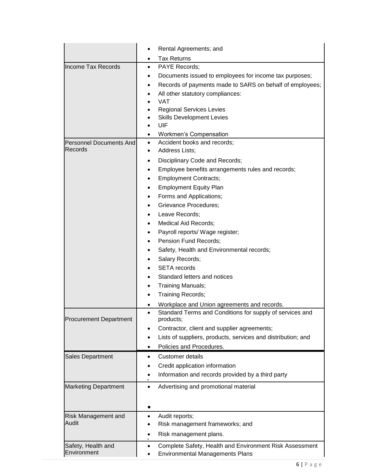|                                           | Rental Agreements; and<br>$\bullet$                                                                     |  |  |  |  |  |
|-------------------------------------------|---------------------------------------------------------------------------------------------------------|--|--|--|--|--|
|                                           | <b>Tax Returns</b><br>$\bullet$                                                                         |  |  |  |  |  |
| <b>Income Tax Records</b>                 | PAYE Records;<br>$\bullet$                                                                              |  |  |  |  |  |
|                                           | Documents issued to employees for income tax purposes;                                                  |  |  |  |  |  |
|                                           | Records of payments made to SARS on behalf of employees;<br>٠                                           |  |  |  |  |  |
|                                           | All other statutory compliances:<br>$\bullet$                                                           |  |  |  |  |  |
|                                           | <b>VAT</b>                                                                                              |  |  |  |  |  |
|                                           | <b>Regional Services Levies</b>                                                                         |  |  |  |  |  |
|                                           | <b>Skills Development Levies</b>                                                                        |  |  |  |  |  |
|                                           | UIF                                                                                                     |  |  |  |  |  |
|                                           | <b>Workmen's Compensation</b><br>$\bullet$                                                              |  |  |  |  |  |
| <b>Personnel Documents And</b><br>Records | Accident books and records;<br>$\bullet$<br><b>Address Lists:</b><br>$\bullet$                          |  |  |  |  |  |
|                                           |                                                                                                         |  |  |  |  |  |
|                                           | Disciplinary Code and Records;<br>$\bullet$                                                             |  |  |  |  |  |
|                                           | Employee benefits arrangements rules and records;<br>٠                                                  |  |  |  |  |  |
|                                           | <b>Employment Contracts;</b><br>٠                                                                       |  |  |  |  |  |
|                                           | <b>Employment Equity Plan</b><br>$\bullet$                                                              |  |  |  |  |  |
|                                           | Forms and Applications;<br>$\bullet$                                                                    |  |  |  |  |  |
|                                           | <b>Grievance Procedures;</b>                                                                            |  |  |  |  |  |
|                                           | Leave Records;<br>٠                                                                                     |  |  |  |  |  |
|                                           | Medical Aid Records;                                                                                    |  |  |  |  |  |
|                                           | Payroll reports/ Wage register;                                                                         |  |  |  |  |  |
|                                           | Pension Fund Records;                                                                                   |  |  |  |  |  |
|                                           | Safety, Health and Environmental records;                                                               |  |  |  |  |  |
|                                           | Salary Records;<br><b>SETA</b> records                                                                  |  |  |  |  |  |
|                                           | Standard letters and notices                                                                            |  |  |  |  |  |
|                                           | Training Manuals;                                                                                       |  |  |  |  |  |
|                                           | <b>Training Records;</b>                                                                                |  |  |  |  |  |
|                                           |                                                                                                         |  |  |  |  |  |
|                                           | Workplace and Union agreements and records.<br>Standard Terms and Conditions for supply of services and |  |  |  |  |  |
| <b>Procurement Department</b>             | products;                                                                                               |  |  |  |  |  |
|                                           | Contractor, client and supplier agreements;<br>$\bullet$                                                |  |  |  |  |  |
|                                           | Lists of suppliers, products, services and distribution; and<br>$\bullet$                               |  |  |  |  |  |
|                                           | Policies and Procedures.<br>$\bullet$                                                                   |  |  |  |  |  |
| Sales Department                          | Customer details                                                                                        |  |  |  |  |  |
|                                           | Credit application information<br>٠                                                                     |  |  |  |  |  |
|                                           | Information and records provided by a third party<br>٠                                                  |  |  |  |  |  |
| <b>Marketing Department</b>               | Advertising and promotional material<br>$\bullet$                                                       |  |  |  |  |  |
|                                           |                                                                                                         |  |  |  |  |  |
|                                           |                                                                                                         |  |  |  |  |  |
|                                           |                                                                                                         |  |  |  |  |  |
| Risk Management and<br>Audit              | Audit reports;<br>$\bullet$                                                                             |  |  |  |  |  |
|                                           | Risk management frameworks; and<br>٠                                                                    |  |  |  |  |  |
|                                           | Risk management plans.<br>$\bullet$                                                                     |  |  |  |  |  |
| Safety, Health and                        | Complete Safety, Health and Environment Risk Assessment<br>$\bullet$                                    |  |  |  |  |  |
| Environment                               | <b>Environmental Managements Plans</b><br>$\bullet$                                                     |  |  |  |  |  |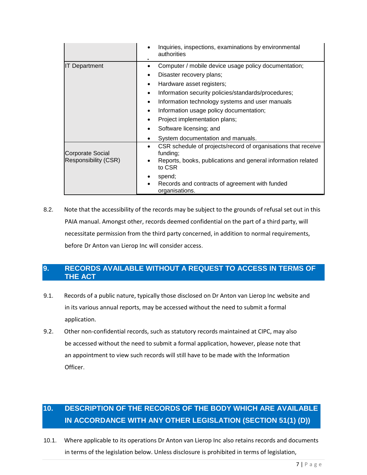|                                                 | Inquiries, inspections, examinations by environmental<br>authorities                                                                                             |
|-------------------------------------------------|------------------------------------------------------------------------------------------------------------------------------------------------------------------|
| <b>IT Department</b>                            | Computer / mobile device usage policy documentation;<br>$\bullet$                                                                                                |
|                                                 | Disaster recovery plans;<br>$\bullet$                                                                                                                            |
|                                                 | Hardware asset registers;<br>$\bullet$                                                                                                                           |
|                                                 | Information security policies/standards/procedures;<br>$\bullet$                                                                                                 |
|                                                 | Information technology systems and user manuals<br>$\bullet$                                                                                                     |
|                                                 | Information usage policy documentation;<br>$\bullet$                                                                                                             |
|                                                 | Project implementation plans;<br>$\bullet$                                                                                                                       |
|                                                 | Software licensing; and<br>$\bullet$                                                                                                                             |
|                                                 | System documentation and manuals.<br>$\bullet$                                                                                                                   |
| <b>Corporate Social</b><br>Responsibility (CSR) | CSR schedule of projects/record of organisations that receive<br>$\bullet$<br>funding;<br>Reports, books, publications and general information related<br>to CSR |
|                                                 | spend;<br>٠<br>Records and contracts of agreement with funded<br>$\bullet$<br>organisations.                                                                     |

8.2. Note that the accessibility of the records may be subject to the grounds of refusal set out in this PAIA manual. Amongst other, records deemed confidential on the part of a third party, will necessitate permission from the third party concerned, in addition to normal requirements, before Dr Anton van Lierop Inc will consider access.

## **9. RECORDS AVAILABLE WITHOUT A REQUEST TO ACCESS IN TERMS OF THE ACT**

- 9.1. Records of a public nature, typically those disclosed on Dr Anton van Lierop Inc website and in its various annual reports, may be accessed without the need to submit a formal application.
- 9.2. Other non-confidential records, such as statutory records maintained at CIPC, may also be accessed without the need to submit a formal application, however, please note that an appointment to view such records will still have to be made with the Information Officer.

## **10. DESCRIPTION OF THE RECORDS OF THE BODY WHICH ARE AVAILABLE IN ACCORDANCE WITH ANY OTHER LEGISLATION (SECTION 51(1) (D))**

10.1. Where applicable to its operations Dr Anton van Lierop Inc also retains records and documents in terms of the legislation below. Unless disclosure is prohibited in terms of legislation,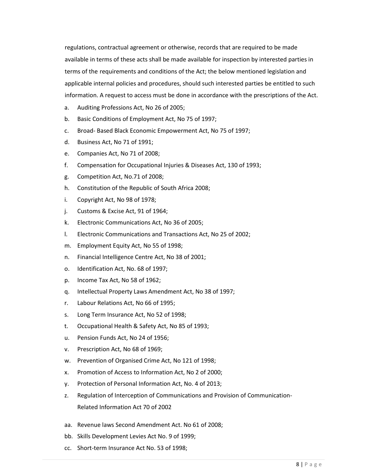regulations, contractual agreement or otherwise, records that are required to be made available in terms of these acts shall be made available for inspection by interested parties in terms of the requirements and conditions of the Act; the below mentioned legislation and applicable internal policies and procedures, should such interested parties be entitled to such information. A request to access must be done in accordance with the prescriptions of the Act.

- a. Auditing Professions Act, No 26 of 2005;
- b. Basic Conditions of Employment Act, No 75 of 1997;
- c. Broad- Based Black Economic Empowerment Act, No 75 of 1997;
- d. Business Act, No 71 of 1991;
- e. Companies Act, No 71 of 2008;
- f. Compensation for Occupational Injuries & Diseases Act, 130 of 1993;
- g. Competition Act, No.71 of 2008;
- h. Constitution of the Republic of South Africa 2008;
- i. Copyright Act, No 98 of 1978;
- j. Customs & Excise Act, 91 of 1964;
- k. Electronic Communications Act, No 36 of 2005;
- l. Electronic Communications and Transactions Act, No 25 of 2002;
- m. Employment Equity Act, No 55 of 1998;
- n. Financial Intelligence Centre Act, No 38 of 2001;
- o. Identification Act, No. 68 of 1997;
- p. Income Tax Act, No 58 of 1962;
- q. Intellectual Property Laws Amendment Act, No 38 of 1997;
- r. Labour Relations Act, No 66 of 1995;
- s. Long Term Insurance Act, No 52 of 1998;
- t. Occupational Health & Safety Act, No 85 of 1993;
- u. Pension Funds Act, No 24 of 1956;
- v. Prescription Act, No 68 of 1969;
- w. Prevention of Organised Crime Act, No 121 of 1998;
- x. Promotion of Access to Information Act, No 2 of 2000;
- y. Protection of Personal Information Act, No. 4 of 2013;
- z. Regulation of Interception of Communications and Provision of Communication-Related Information Act 70 of 2002
- aa. Revenue laws Second Amendment Act. No 61 of 2008;
- bb. Skills Development Levies Act No. 9 of 1999;
- cc. Short-term Insurance Act No. 53 of 1998;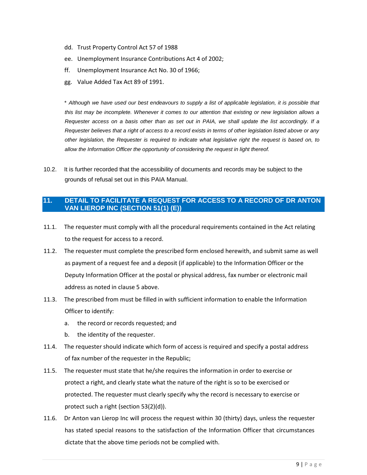- dd. Trust Property Control Act 57 of 1988
- ee. Unemployment Insurance Contributions Act 4 of 2002;
- ff. Unemployment Insurance Act No. 30 of 1966;
- gg. Value Added Tax Act 89 of 1991.

\* *Although we have used our best endeavours to supply a list of applicable legislation, it is possible that this list may be incomplete. Whenever it comes to our attention that existing or new legislation allows a Requester access on a basis other than as set out in PAIA, we shall update the list accordingly. If a Requester believes that a right of access to a record exists in terms of other legislation listed above or any other legislation, the Requester is required to indicate what legislative right the request is based on, to allow the Information Officer the opportunity of considering the request in light thereof.*

10.2. It is further recorded that the accessibility of documents and records may be subject to the grounds of refusal set out in this PAIA Manual.

### **11. DETAIL TO FACILITATE A REQUEST FOR ACCESS TO A RECORD OF DR ANTON VAN LIEROP INC (SECTION 51(1) (E))**

- 11.1. The requester must comply with all the procedural requirements contained in the Act relating to the request for access to a record.
- 11.2. The requester must complete the prescribed form enclosed herewith, and submit same as well as payment of a request fee and a deposit (if applicable) to the Information Officer or the Deputy Information Officer at the postal or physical address, fax number or electronic mail address as noted in clause 5 above.
- 11.3. The prescribed from must be filled in with sufficient information to enable the Information Officer to identify:
	- a. the record or records requested; and
	- b. the identity of the requester.
- 11.4. The requester should indicate which form of access is required and specify a postal address of fax number of the requester in the Republic;
- 11.5. The requester must state that he/she requires the information in order to exercise or protect a right, and clearly state what the nature of the right is so to be exercised or protected. The requester must clearly specify why the record is necessary to exercise or protect such a right (section 53(2)(d)).
- 11.6. Dr Anton van Lierop Inc will process the request within 30 (thirty) days, unless the requester has stated special reasons to the satisfaction of the Information Officer that circumstances dictate that the above time periods not be complied with.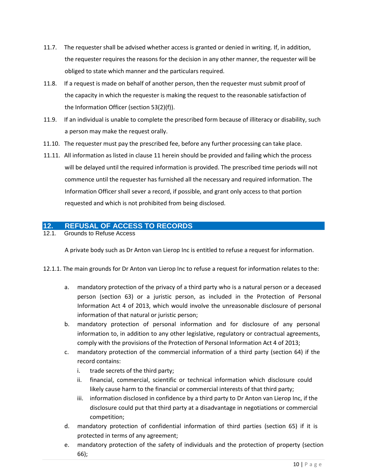- 11.7. The requester shall be advised whether access is granted or denied in writing. If, in addition, the requester requires the reasons for the decision in any other manner, the requester will be obliged to state which manner and the particulars required.
- 11.8. If a request is made on behalf of another person, then the requester must submit proof of the capacity in which the requester is making the request to the reasonable satisfaction of the Information Officer (section 53(2)(f)).
- 11.9. If an individual is unable to complete the prescribed form because of illiteracy or disability, such a person may make the request orally.
- 11.10. The requester must pay the prescribed fee, before any further processing can take place.
- 11.11. All information as listed in clause 11 herein should be provided and failing which the process will be delayed until the required information is provided. The prescribed time periods will not commence until the requester has furnished all the necessary and required information. The Information Officer shall sever a record, if possible, and grant only access to that portion requested and which is not prohibited from being disclosed.

## **12. REFUSAL OF ACCESS TO RECORDS**

12.1. Grounds to Refuse Access

A private body such as Dr Anton van Lierop Inc is entitled to refuse a request for information.

- 12.1.1. The main grounds for Dr Anton van Lierop Inc to refuse a request for information relates to the:
	- a. mandatory protection of the privacy of a third party who is a natural person or a deceased person (section 63) or a juristic person, as included in the Protection of Personal Information Act 4 of 2013, which would involve the unreasonable disclosure of personal information of that natural or juristic person;
	- b. mandatory protection of personal information and for disclosure of any personal information to, in addition to any other legislative, regulatory or contractual agreements, comply with the provisions of the Protection of Personal Information Act 4 of 2013;
	- c. mandatory protection of the commercial information of a third party (section 64) if the record contains:
		- i. trade secrets of the third party;
		- ii. financial, commercial, scientific or technical information which disclosure could likely cause harm to the financial or commercial interests of that third party;
		- iii. information disclosed in confidence by a third party to Dr Anton van Lierop Inc, if the disclosure could put that third party at a disadvantage in negotiations or commercial competition;
	- d. mandatory protection of confidential information of third parties (section 65) if it is protected in terms of any agreement;
	- e. mandatory protection of the safety of individuals and the protection of property (section 66);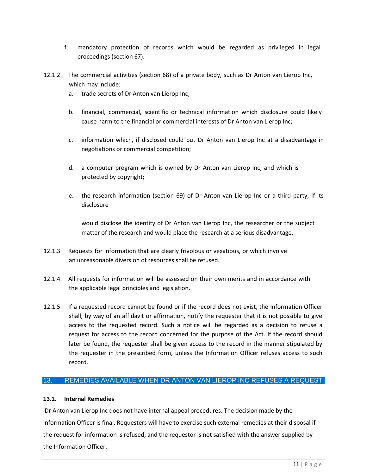- f. mandatory protection of records which would be regarded as privileged in legal proceedings (section 67).
- 12.1.2. The commercial activities (section 68) of a private body, such as Dr Anton van Lierop Inc, which may include:
	- a. trade secrets of Dr Anton van Lierop Inc;
	- b. financial, commercial, scientific or technical information which disclosure could likely cause harm to the financial or commercial interests of Dr Anton van Lierop Inc;
	- c. information which, if disclosed could put Dr Anton van Lierop Inc at a disadvantage in negotiations or commercial competition;
	- d. a computer program which is owned by Dr Anton van Lierop Inc, and which is protected by copyright;
	- e. the research information (section 69) of Dr Anton van Lierop Inc or a third party, if its disclosure

would disclose the identity of Dr Anton van Lierop Inc, the researcher or the subject matter of the research and would place the research at a serious disadvantage.

- 12.1.3. Requests for information that are clearly frivolous or vexatious, or which involve an unreasonable diversion of resources shall be refused.
- 12.1.4. All requests for information will be assessed on their own merits and in accordance with the applicable legal principles and legislation.
- 12.1.5. If a requested record cannot be found or if the record does not exist, the Information Officer shall, by way of an affidavit or affirmation, notify the requester that it is not possible to give access to the requested record. Such a notice will be regarded as a decision to refuse a request for access to the record concerned for the purpose of the Act. If the record should later be found, the requester shall be given access to the record in the manner stipulated by the requester in the prescribed form, unless the Information Officer refuses access to such record.

### 13. REMEDIES AVAILABLE WHEN DR ANTON VAN LIEROP INC REFUSES A REQUEST

#### **13.1. Internal Remedies**

Dr Anton van Lierop Inc does not have internal appeal procedures. The decision made by the Information Officer is final. Requesters will have to exercise such external remedies at their disposal if the request for information is refused, and the requestor is not satisfied with the answer supplied by the Information Officer.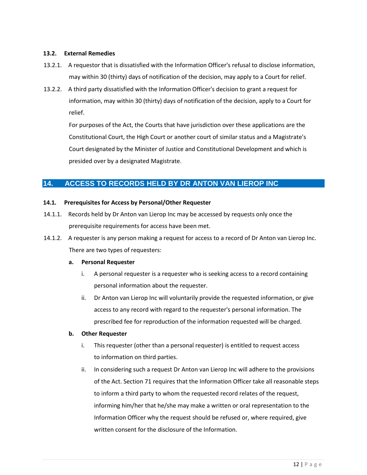#### **13.2. External Remedies**

- 13.2.1. A requestor that is dissatisfied with the Information Officer's refusal to disclose information, may within 30 (thirty) days of notification of the decision, may apply to a Court for relief.
- 13.2.2. A third party dissatisfied with the Information Officer's decision to grant a request for information, may within 30 (thirty) days of notification of the decision, apply to a Court for relief.

For purposes of the Act, the Courts that have jurisdiction over these applications are the Constitutional Court, the High Court or another court of similar status and a Magistrate's Court designated by the Minister of Justice and Constitutional Development and which is presided over by a designated Magistrate.

## **14. ACCESS TO RECORDS HELD BY DR ANTON VAN LIEROP INC**

#### **14.1. Prerequisites for Access by Personal/Other Requester**

- 14.1.1. Records held by Dr Anton van Lierop Inc may be accessed by requests only once the prerequisite requirements for access have been met.
- 14.1.2. A requester is any person making a request for access to a record of Dr Anton van Lierop Inc. There are two types of requesters:

#### **a. Personal Requester**

- i. A personal requester is a requester who is seeking access to a record containing personal information about the requester.
- ii. Dr Anton van Lierop Inc will voluntarily provide the requested information, or give access to any record with regard to the requester's personal information. The prescribed fee for reproduction of the information requested will be charged.

#### **b. Other Requester**

- i. This requester (other than a personal requester) is entitled to request access to information on third parties.
- ii. In considering such a request Dr Anton van Lierop Inc will adhere to the provisions of the Act. Section 71 requires that the Information Officer take all reasonable steps to inform a third party to whom the requested record relates of the request, informing him/her that he/she may make a written or oral representation to the Information Officer why the request should be refused or, where required, give written consent for the disclosure of the Information.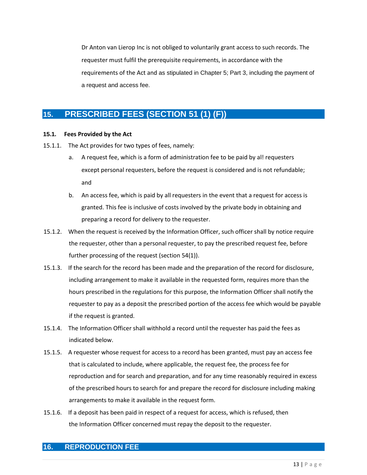Dr Anton van Lierop Inc is not obliged to voluntarily grant access to such records. The requester must fulfil the prerequisite requirements, in accordance with the requirements of the Act and as stipulated in Chapter 5; Part 3, including the payment of a request and access fee.

## **15. PRESCRIBED FEES (SECTION 51 (1) (F))**

#### **15.1. Fees Provided by the Act**

- 15.1.1. The Act provides for two types of fees, namely:
	- a. A request fee, which is a form of administration fee to be paid by al! requesters except personal requesters, before the request is considered and is not refundable; and
	- b. An access fee, which is paid by all requesters in the event that a request for access is granted. This fee is inclusive of costs involved by the private body in obtaining and preparing a record for delivery to the requester.
- 15.1.2. When the request is received by the Information Officer, such officer shall by notice require the requester, other than a personal requester, to pay the prescribed request fee, before further processing of the request (section 54(1)).
- 15.1.3. If the search for the record has been made and the preparation of the record for disclosure, including arrangement to make it available in the requested form, requires more than the hours prescribed in the regulations for this purpose, the Information Officer shall notify the requester to pay as a deposit the prescribed portion of the access fee which would be payable if the request is granted.
- 15.1.4. The Information Officer shall withhold a record until the requester has paid the fees as indicated below.
- 15.1.5. A requester whose request for access to a record has been granted, must pay an access fee that is calculated to include, where applicable, the request fee, the process fee for reproduction and for search and preparation, and for any time reasonably required in excess of the prescribed hours to search for and prepare the record for disclosure including making arrangements to make it available in the request form.
- 15.1.6. If a deposit has been paid in respect of a request for access, which is refused, then the Information Officer concerned must repay the deposit to the requester.

## **16. REPRODUCTION FEE**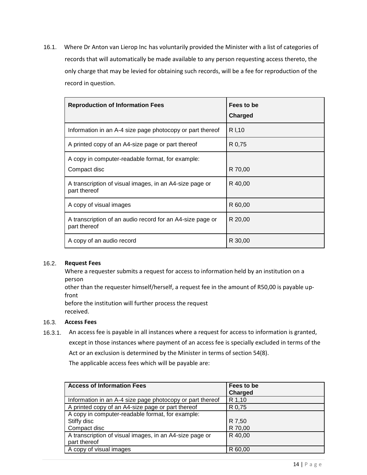16.1. Where Dr Anton van Lierop Inc has voluntarily provided the Minister with a list of categories of records that will automatically be made available to any person requesting access thereto, the only charge that may be levied for obtaining such records, will be a fee for reproduction of the record in question.

| <b>Reproduction of Information Fees</b>                                   | Fees to be<br><b>Charged</b> |
|---------------------------------------------------------------------------|------------------------------|
| Information in an A-4 size page photocopy or part thereof                 | R I,10                       |
| A printed copy of an A4-size page or part thereof                         | R 0,75                       |
| A copy in computer-readable format, for example:<br>Compact disc          | R 70,00                      |
| A transcription of visual images, in an A4-size page or<br>part thereof   | R 40,00                      |
| A copy of visual images                                                   | R 60,00                      |
| A transcription of an audio record for an A4-size page or<br>part thereof | R 20,00                      |
| A copy of an audio record                                                 | R 30,00                      |

#### 16.2. **Request Fees**

Where a requester submits a request for access to information held by an institution on a person

other than the requester himself/herself, a request fee in the amount of R50,00 is payable upfront

before the institution will further process the request received.

#### 16.3. **Access Fees**

16.3.1. An access fee is payable in all instances where a request for access to information is granted, except in those instances where payment of an access fee is specially excluded in terms of the Act or an exclusion is determined by the Minister in terms of section 54(8).

The applicable access fees which will be payable are:

| <b>Access of Information Fees</b>                         | Fees to be |
|-----------------------------------------------------------|------------|
|                                                           | Charged    |
| Information in an A-4 size page photocopy or part thereof | R 1,10     |
| A printed copy of an A4-size page or part thereof         | R 0,75     |
| A copy in computer-readable format, for example:          |            |
| Stiffy disc                                               | R 7,50     |
| Compact disc                                              | R 70,00    |
| A transcription of visual images, in an A4-size page or   | R 40,00    |
| part thereof                                              |            |
| A copy of visual images                                   | R 60,00    |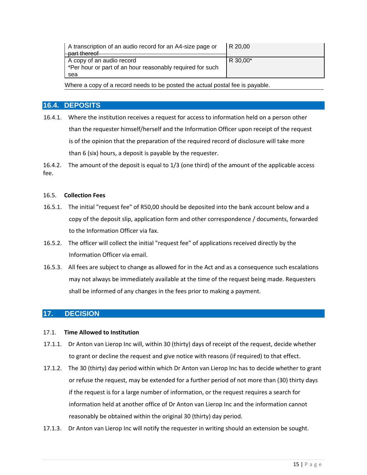| A transcription of an audio record for an A4-size page or<br>part thereof | R 20,00  |
|---------------------------------------------------------------------------|----------|
| A copy of an audio record                                                 | R 30,00* |
| *Per hour or part of an hour reasonably required for such                 |          |
| sea                                                                       |          |

Where a copy of a record needs to be posted the actual postal fee is payable.

#### **16.4. DEPOSITS**

16.4.1. Where the institution receives a request for access to information held on a person other than the requester himself/herself and the Information Officer upon receipt of the request is of the opinion that the preparation of the required record of disclosure will take more than 6 (six) hours, a deposit is payable by the requester.

16.4.2. The amount of the deposit is equal to 1/3 (one third) of the amount of the applicable access fee.

#### 16.5. **Collection Fees**

- 16.5.1. The initial "request fee" of R50,00 should be deposited into the bank account below and a copy of the deposit slip, application form and other correspondence / documents, forwarded to the Information Officer via fax.
- 16.5.2. The officer will collect the initial "request fee" of applications received directly by the Information Officer via email.
- 16.5.3. All fees are subject to change as allowed for in the Act and as a consequence such escalations may not always be immediately available at the time of the request being made. Requesters shall be informed of any changes in the fees prior to making a payment.

### **17. DECISION**

#### 17.1. **Time Allowed to Institution**

- 17.1.1. Dr Anton van Lierop Inc will, within 30 (thirty) days of receipt of the request, decide whether to grant or decline the request and give notice with reasons (if required) to that effect.
- 17.1.2. The 30 (thirty) day period within which Dr Anton van Lierop Inc has to decide whether to grant or refuse the request, may be extended for a further period of not more than (30) thirty days if the request is for a large number of information, or the request requires a search for information held at another office of Dr Anton van Lierop Inc and the information cannot reasonably be obtained within the original 30 (thirty) day period.
- 17.1.3. Dr Anton van Lierop Inc will notify the requester in writing should an extension be sought.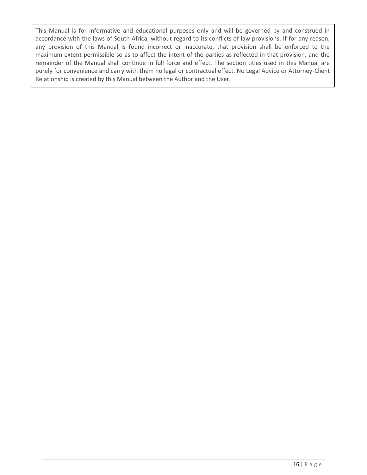This Manual is for informative and educational purposes only and will be governed by and construed in accordance with the laws of South Africa, without regard to its conflicts of law provisions. If for any reason, any provision of this Manual is found incorrect or inaccurate, that provision shall be enforced to the maximum extent permissible so as to affect the intent of the parties as reflected in that provision, and the remainder of the Manual shall continue in full force and effect. The section titles used in this Manual are purely for convenience and carry with them no legal or contractual effect. No Legal Advice or Attorney-Client Relationship is created by this Manual between the Author and the User.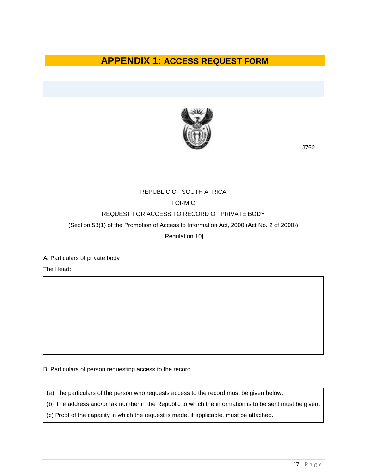## **APPENDIX 1: ACCESS REQUEST FORM**



J752

## REPUBLIC OF SOUTH AFRICA FORM C REQUEST FOR ACCESS TO RECORD OF PRIVATE BODY (Section 53(1) of the Promotion of Access to Information Act, 2000 (Act No. 2 of 2000))

[Regulation 10]

A. Particulars of private body

The Head:

B. Particulars of person requesting access to the record

(a) The particulars of the person who requests access to the record must be given below.

(b) The address and/or fax number in the Republic to which the information is to be sent must be given.

(c) Proof of the capacity in which the request is made, if applicable, must be attached.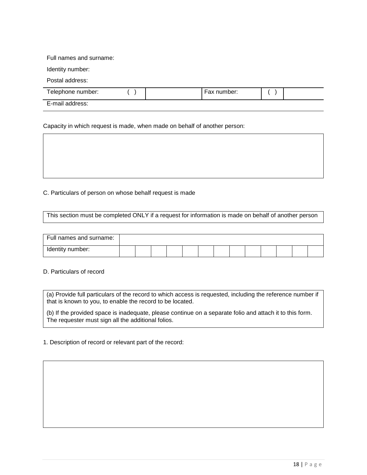Full names and surname:

Identity number:

Postal address:

| Telephone number: |  | number:<br>Fax |  |
|-------------------|--|----------------|--|
| E-mail address:   |  |                |  |

Capacity in which request is made, when made on behalf of another person:

C. Particulars of person on whose behalf request is made

This section must be completed ONLY if a request for information is made on behalf of another person

| Full names and surname: |  |  |  |  |  |  |  |
|-------------------------|--|--|--|--|--|--|--|
| Identity number:        |  |  |  |  |  |  |  |

D. Particulars of record

(a) Provide full particulars of the record to which access is requested, including the reference number if that is known to you, to enable the record to be located.

(b) If the provided space is inadequate, please continue on a separate folio and attach it to this form. The requester must sign all the additional folios.

1. Description of record or relevant part of the record: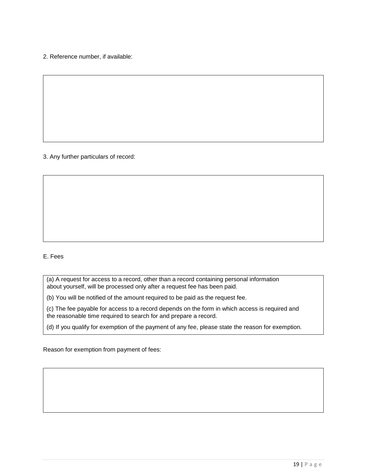2. Reference number, if available:

3. Any further particulars of record:

#### E. Fees

(a) A request for access to a record, other than a record containing personal information about yourself, will be processed only after a request fee has been paid.

(b) You will be notified of the amount required to be paid as the request fee.

(c) The fee payable for access to a record depends on the form in which access is required and the reasonable time required to search for and prepare a record.

(d) If you qualify for exemption of the payment of any fee, please state the reason for exemption.

Reason for exemption from payment of fees: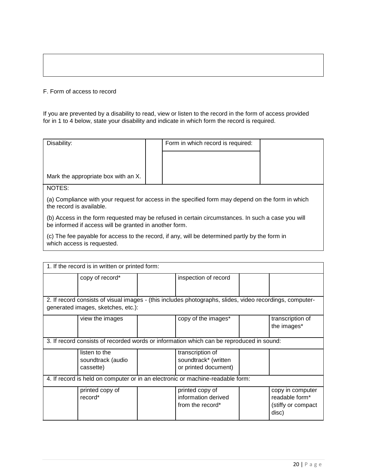#### F. Form of access to record

If you are prevented by a disability to read, view or listen to the record in the form of access provided for in 1 to 4 below, state your disability and indicate in which form the record is required.

| Disability:                         | Form in which record is required: |  |
|-------------------------------------|-----------------------------------|--|
|                                     |                                   |  |
|                                     |                                   |  |
| Mark the appropriate box with an X. |                                   |  |
| NOTES:                              |                                   |  |

(a) Compliance with your request for access in the specified form may depend on the form in which the record is available.

(b) Access in the form requested may be refused in certain circumstances. In such a case you will be informed if access will be granted in another form.

(c) The fee payable for access to the record, if any, will be determined partly by the form in which access is requested.

| 1. If the record is in written or printed form:                                                                                                |                                                 |  |                                                                  |  |                                                                   |  |  |
|------------------------------------------------------------------------------------------------------------------------------------------------|-------------------------------------------------|--|------------------------------------------------------------------|--|-------------------------------------------------------------------|--|--|
|                                                                                                                                                | copy of record*                                 |  | inspection of record                                             |  |                                                                   |  |  |
| 2. If record consists of visual images - (this includes photographs, slides, video recordings, computer-<br>generated images, sketches, etc.): |                                                 |  |                                                                  |  |                                                                   |  |  |
|                                                                                                                                                | view the images                                 |  | copy of the images*                                              |  | transcription of<br>the images*                                   |  |  |
| 3. If record consists of recorded words or information which can be reproduced in sound:                                                       |                                                 |  |                                                                  |  |                                                                   |  |  |
|                                                                                                                                                | listen to the<br>soundtrack (audio<br>cassette) |  | transcription of<br>soundtrack* (written<br>or printed document) |  |                                                                   |  |  |
| 4. If record is held on computer or in an electronic or machine-readable form:                                                                 |                                                 |  |                                                                  |  |                                                                   |  |  |
|                                                                                                                                                | printed copy of<br>record*                      |  | printed copy of<br>information derived<br>from the record*       |  | copy in computer<br>readable form*<br>(stiffy or compact<br>disc) |  |  |